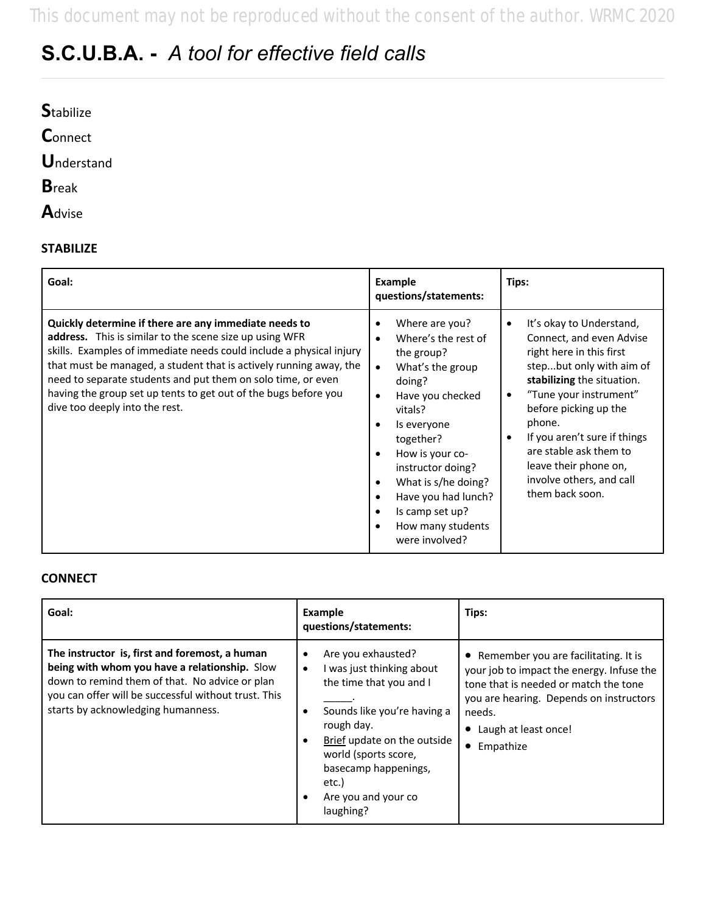# **S.C.U.B.A. -** *A tool for effective field calls*

| <b>Stabilize</b>   |  |  |  |
|--------------------|--|--|--|
| Connect            |  |  |  |
| <b>U</b> nderstand |  |  |  |
| <b>B</b> reak      |  |  |  |
| Advise             |  |  |  |

#### **STABILIZE**

| Goal:                                                                                                                                                                                                                                                                                                                                                                                                                              | <b>Example</b><br>questions/statements:                                                                                                                                                                                                                                                                                                                                                           | Tips:                                                                                                                                                                                                                                                                                                                                                                    |
|------------------------------------------------------------------------------------------------------------------------------------------------------------------------------------------------------------------------------------------------------------------------------------------------------------------------------------------------------------------------------------------------------------------------------------|---------------------------------------------------------------------------------------------------------------------------------------------------------------------------------------------------------------------------------------------------------------------------------------------------------------------------------------------------------------------------------------------------|--------------------------------------------------------------------------------------------------------------------------------------------------------------------------------------------------------------------------------------------------------------------------------------------------------------------------------------------------------------------------|
| Quickly determine if there are any immediate needs to<br>address. This is similar to the scene size up using WFR<br>skills. Examples of immediate needs could include a physical injury<br>that must be managed, a student that is actively running away, the<br>need to separate students and put them on solo time, or even<br>having the group set up tents to get out of the bugs before you<br>dive too deeply into the rest. | Where are you?<br>٠<br>Where's the rest of<br>$\bullet$<br>the group?<br>What's the group<br>$\bullet$<br>doing?<br>Have you checked<br>$\bullet$<br>vitals?<br>Is everyone<br>together?<br>How is your co-<br>$\bullet$<br>instructor doing?<br>What is s/he doing?<br>$\bullet$<br>Have you had lunch?<br>$\bullet$<br>Is camp set up?<br>$\bullet$<br>How many students<br>٠<br>were involved? | It's okay to Understand,<br>$\bullet$<br>Connect, and even Advise<br>right here in this first<br>stepbut only with aim of<br>stabilizing the situation.<br>"Tune your instrument"<br>٠<br>before picking up the<br>phone.<br>If you aren't sure if things<br>$\bullet$<br>are stable ask them to<br>leave their phone on,<br>involve others, and call<br>them back soon. |

#### **CONNECT**

| Goal:                                                                                                                                                                                                                                           | Example<br>questions/statements:                                                                                                                                                                                                                    | Tips:                                                                                                                                                                                                                    |
|-------------------------------------------------------------------------------------------------------------------------------------------------------------------------------------------------------------------------------------------------|-----------------------------------------------------------------------------------------------------------------------------------------------------------------------------------------------------------------------------------------------------|--------------------------------------------------------------------------------------------------------------------------------------------------------------------------------------------------------------------------|
| The instructor is, first and foremost, a human<br>being with whom you have a relationship. Slow<br>down to remind them of that. No advice or plan<br>you can offer will be successful without trust. This<br>starts by acknowledging humanness. | Are you exhausted?<br>I was just thinking about<br>the time that you and I<br>Sounds like you're having a<br>rough day.<br>Brief update on the outside<br>world (sports score,<br>basecamp happenings,<br>etc.)<br>Are you and your co<br>laughing? | • Remember you are facilitating. It is<br>your job to impact the energy. Infuse the<br>tone that is needed or match the tone<br>you are hearing. Depends on instructors<br>needs.<br>Laugh at least once!<br>• Empathize |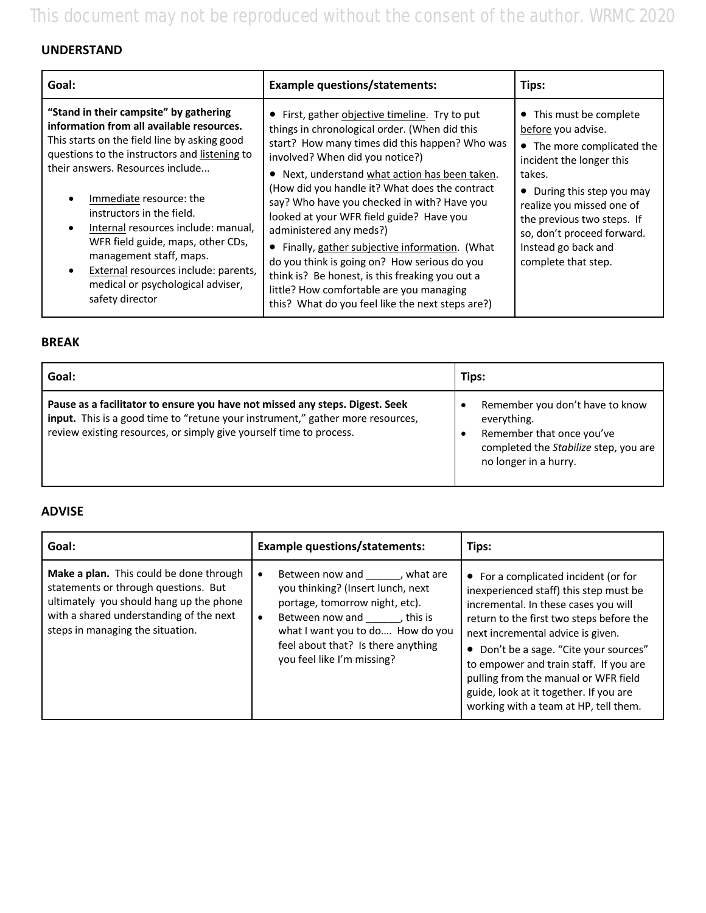This document may not be reproduced without the consent of the author. WRMC 2020

### **UNDERSTAND**

| Goal:                                                                                                                                                                                                                                                                                                                                                                                                                                                                                                                          | <b>Example questions/statements:</b>                                                                                                                                                                                                                                                                                                                                                                                                                                                                                                                                                                                                                           | Tips:                                                                                                                                                                                                                                                                                  |
|--------------------------------------------------------------------------------------------------------------------------------------------------------------------------------------------------------------------------------------------------------------------------------------------------------------------------------------------------------------------------------------------------------------------------------------------------------------------------------------------------------------------------------|----------------------------------------------------------------------------------------------------------------------------------------------------------------------------------------------------------------------------------------------------------------------------------------------------------------------------------------------------------------------------------------------------------------------------------------------------------------------------------------------------------------------------------------------------------------------------------------------------------------------------------------------------------------|----------------------------------------------------------------------------------------------------------------------------------------------------------------------------------------------------------------------------------------------------------------------------------------|
| "Stand in their campsite" by gathering<br>information from all available resources.<br>This starts on the field line by asking good<br>questions to the instructors and listening to<br>their answers. Resources include<br>Immediate resource: the<br>$\bullet$<br>instructors in the field.<br>Internal resources include: manual,<br>$\bullet$<br>WFR field guide, maps, other CDs,<br>management staff, maps.<br>External resources include: parents,<br>$\bullet$<br>medical or psychological adviser,<br>safety director | First, gather objective timeline. Try to put<br>things in chronological order. (When did this<br>start? How many times did this happen? Who was<br>involved? When did you notice?)<br>Next, understand what action has been taken.<br>(How did you handle it? What does the contract<br>say? Who have you checked in with? Have you<br>looked at your WFR field guide? Have you<br>administered any meds?)<br>Finally, gather subjective information. (What<br>do you think is going on? How serious do you<br>think is? Be honest, is this freaking you out a<br>little? How comfortable are you managing<br>this? What do you feel like the next steps are?) | • This must be complete<br>before you advise.<br>• The more complicated the<br>incident the longer this<br>takes.<br>• During this step you may<br>realize you missed one of<br>the previous two steps. If<br>so, don't proceed forward.<br>Instead go back and<br>complete that step. |

#### **BREAK**

| Goal:                                                                                                                                                                                                                                 | Tips:                                                                                                                                         |
|---------------------------------------------------------------------------------------------------------------------------------------------------------------------------------------------------------------------------------------|-----------------------------------------------------------------------------------------------------------------------------------------------|
| Pause as a facilitator to ensure you have not missed any steps. Digest. Seek<br>input. This is a good time to "retune your instrument," gather more resources,<br>review existing resources, or simply give yourself time to process. | Remember you don't have to know<br>everything.<br>Remember that once you've<br>completed the Stabilize step, you are<br>no longer in a hurry. |

#### **ADVISE**

| Goal:                                                                                                                                                                                                     | <b>Example questions/statements:</b>                                                                                                                                                                                                                               | Tips:                                                                                                                                                                                                                                                                                                                                                                                                                             |
|-----------------------------------------------------------------------------------------------------------------------------------------------------------------------------------------------------------|--------------------------------------------------------------------------------------------------------------------------------------------------------------------------------------------------------------------------------------------------------------------|-----------------------------------------------------------------------------------------------------------------------------------------------------------------------------------------------------------------------------------------------------------------------------------------------------------------------------------------------------------------------------------------------------------------------------------|
| Make a plan. This could be done through<br>statements or through questions. But<br>ultimately you should hang up the phone<br>with a shared understanding of the next<br>steps in managing the situation. | Between now and fight what are<br>$\bullet$<br>you thinking? (Insert lunch, next<br>portage, tomorrow night, etc).<br>Between now and this is<br>$\bullet$<br>what I want you to do How do you<br>feel about that? Is there anything<br>you feel like I'm missing? | • For a complicated incident (or for<br>inexperienced staff) this step must be<br>incremental. In these cases you will<br>return to the first two steps before the<br>next incremental advice is given.<br>Don't be a sage. "Cite your sources"<br>$\bullet$<br>to empower and train staff. If you are<br>pulling from the manual or WFR field<br>guide, look at it together. If you are<br>working with a team at HP, tell them. |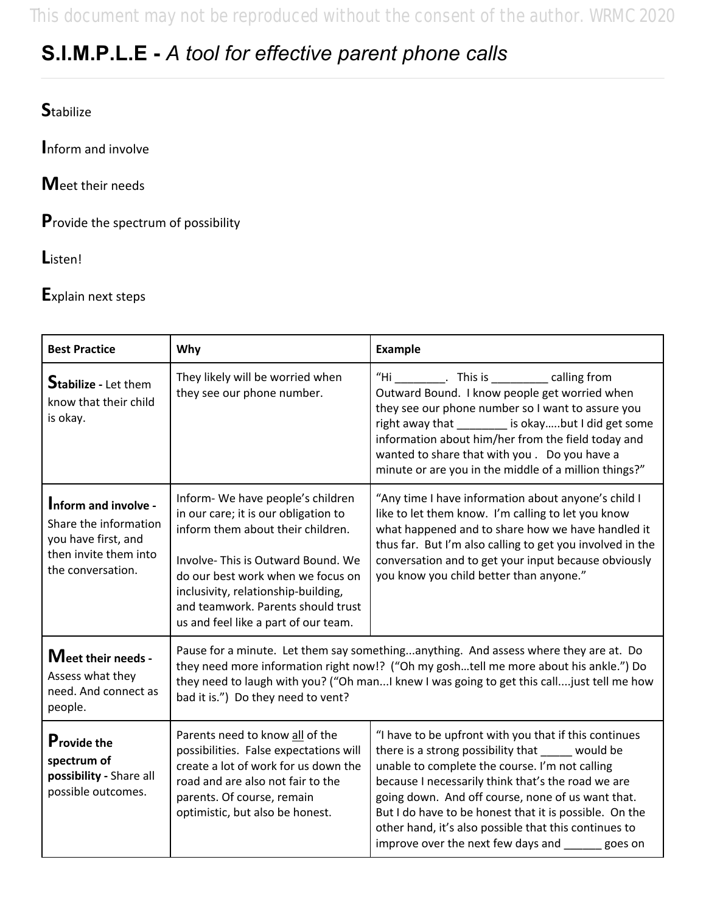This document may not be reproduced without the consent of the author. WRMC 2020

## **S.I.M.P.L.E -** *A tool for effective parent phone calls*

### **S**tabilize

**I**nform and involve

**M**eet their needs

**P**rovide the spectrum of possibility

**L**isten!

**E**xplain next steps

| <b>Best Practice</b>                                                                                               | Why                                                                                                                                                                                                                                                                                                               | Example                                                                                                                                                                                                                                                                                                                                                                                                                                   |  |
|--------------------------------------------------------------------------------------------------------------------|-------------------------------------------------------------------------------------------------------------------------------------------------------------------------------------------------------------------------------------------------------------------------------------------------------------------|-------------------------------------------------------------------------------------------------------------------------------------------------------------------------------------------------------------------------------------------------------------------------------------------------------------------------------------------------------------------------------------------------------------------------------------------|--|
| <b>Stabilize</b> - Let them<br>know that their child<br>is okay.                                                   | They likely will be worried when<br>they see our phone number.                                                                                                                                                                                                                                                    | "Hi ___________. This is ____________ calling from<br>Outward Bound. I know people get worried when<br>they see our phone number so I want to assure you<br>right away that ________ is okaybut I did get some<br>information about him/her from the field today and<br>wanted to share that with you. Do you have a<br>minute or are you in the middle of a million things?"                                                             |  |
| Inform and involve -<br>Share the information<br>you have first, and<br>then invite them into<br>the conversation. | Inform- We have people's children<br>in our care; it is our obligation to<br>inform them about their children.<br>Involve-This is Outward Bound. We<br>do our best work when we focus on<br>inclusivity, relationship-building,<br>and teamwork. Parents should trust<br>us and feel like a part of our team.     | "Any time I have information about anyone's child I<br>like to let them know. I'm calling to let you know<br>what happened and to share how we have handled it<br>thus far. But I'm also calling to get you involved in the<br>conversation and to get your input because obviously<br>you know you child better than anyone."                                                                                                            |  |
| Meet their needs -<br>Assess what they<br>need. And connect as<br>people.                                          | Pause for a minute. Let them say somethinganything. And assess where they are at. Do<br>they need more information right now!? ("Oh my goshtell me more about his ankle.") Do<br>they need to laugh with you? ("Oh man I knew I was going to get this call just tell me how<br>bad it is.") Do they need to vent? |                                                                                                                                                                                                                                                                                                                                                                                                                                           |  |
| <b>Provide the</b><br>spectrum of<br>possibility - Share all<br>possible outcomes.                                 | Parents need to know all of the<br>possibilities. False expectations will<br>create a lot of work for us down the<br>road and are also not fair to the<br>parents. Of course, remain<br>optimistic, but also be honest.                                                                                           | "I have to be upfront with you that if this continues<br>there is a strong possibility that ______ would be<br>unable to complete the course. I'm not calling<br>because I necessarily think that's the road we are<br>going down. And off course, none of us want that.<br>But I do have to be honest that it is possible. On the<br>other hand, it's also possible that this continues to<br>improve over the next few days and goes on |  |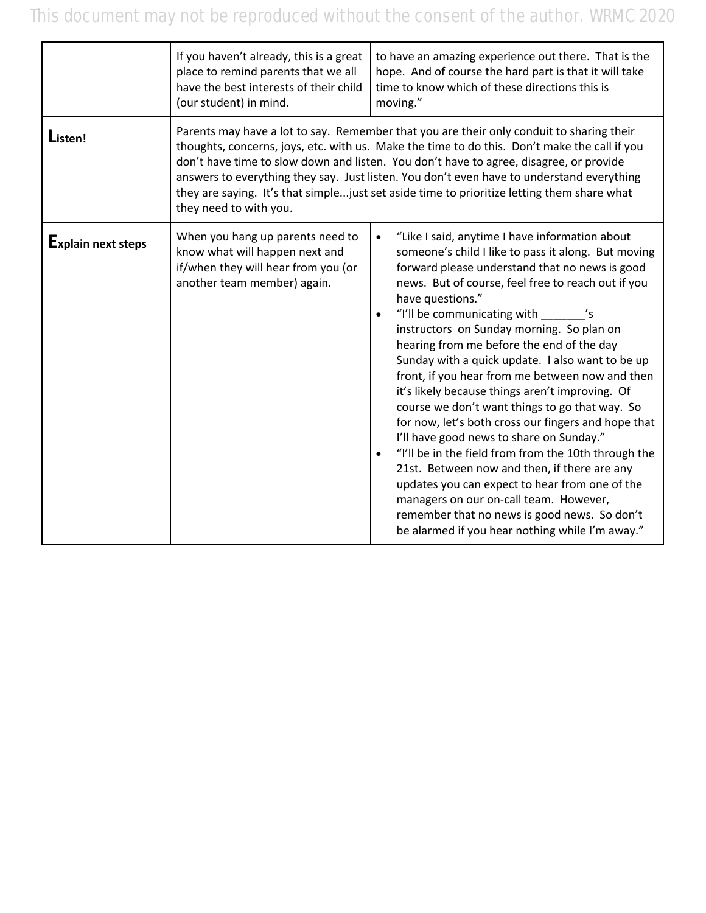|                           | If you haven't already, this is a great<br>place to remind parents that we all<br>have the best interests of their child<br>(our student) in mind.                                                                                                                                                                                                                                                                                                                                                      | to have an amazing experience out there. That is the<br>hope. And of course the hard part is that it will take<br>time to know which of these directions this is<br>moving."                                                                                                                                                                                                                                                                                                                                                                                                                                                                                                                                                                                                                                                                                                                                                                                                                                   |
|---------------------------|---------------------------------------------------------------------------------------------------------------------------------------------------------------------------------------------------------------------------------------------------------------------------------------------------------------------------------------------------------------------------------------------------------------------------------------------------------------------------------------------------------|----------------------------------------------------------------------------------------------------------------------------------------------------------------------------------------------------------------------------------------------------------------------------------------------------------------------------------------------------------------------------------------------------------------------------------------------------------------------------------------------------------------------------------------------------------------------------------------------------------------------------------------------------------------------------------------------------------------------------------------------------------------------------------------------------------------------------------------------------------------------------------------------------------------------------------------------------------------------------------------------------------------|
| Listen!                   | Parents may have a lot to say. Remember that you are their only conduit to sharing their<br>thoughts, concerns, joys, etc. with us. Make the time to do this. Don't make the call if you<br>don't have time to slow down and listen. You don't have to agree, disagree, or provide<br>answers to everything they say. Just listen. You don't even have to understand everything<br>they are saying. It's that simplejust set aside time to prioritize letting them share what<br>they need to with you. |                                                                                                                                                                                                                                                                                                                                                                                                                                                                                                                                                                                                                                                                                                                                                                                                                                                                                                                                                                                                                |
| <b>Explain next steps</b> | When you hang up parents need to<br>know what will happen next and<br>if/when they will hear from you (or<br>another team member) again.                                                                                                                                                                                                                                                                                                                                                                | "Like I said, anytime I have information about<br>$\bullet$<br>someone's child I like to pass it along. But moving<br>forward please understand that no news is good<br>news. But of course, feel free to reach out if you<br>have questions."<br>"I'll be communicating with<br>$^{\prime}$ s<br>instructors on Sunday morning. So plan on<br>hearing from me before the end of the day<br>Sunday with a quick update. I also want to be up<br>front, if you hear from me between now and then<br>it's likely because things aren't improving. Of<br>course we don't want things to go that way. So<br>for now, let's both cross our fingers and hope that<br>I'll have good news to share on Sunday."<br>"I'll be in the field from from the 10th through the<br>21st. Between now and then, if there are any<br>updates you can expect to hear from one of the<br>managers on our on-call team. However,<br>remember that no news is good news. So don't<br>be alarmed if you hear nothing while I'm away." |